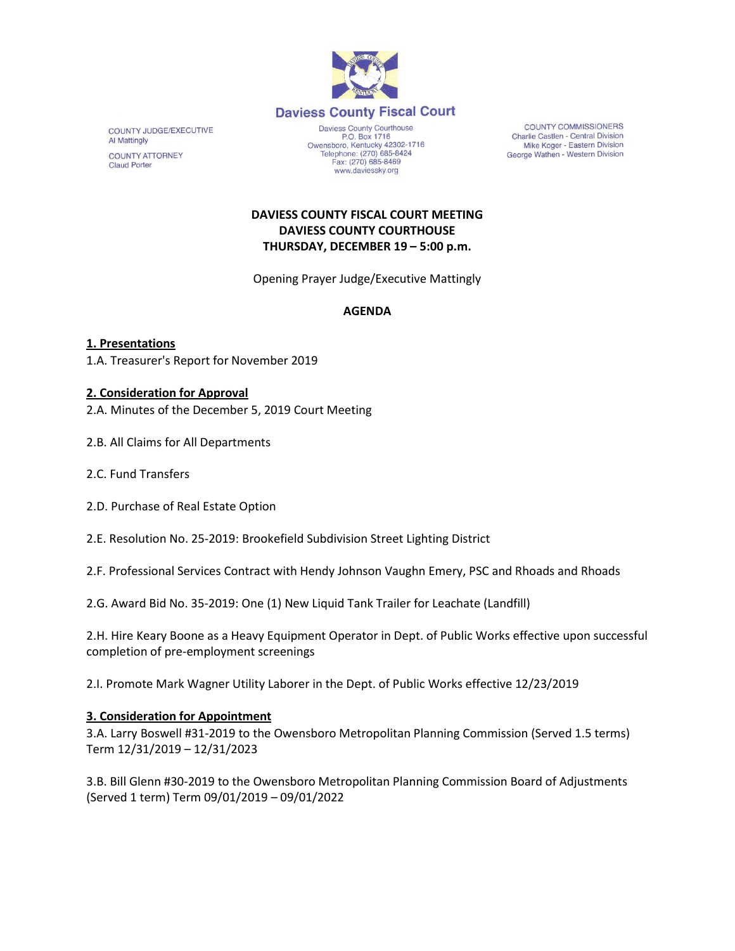

COUNTY JUDGE/EXECUTIVE **Al Mattingly** 

**COUNTY ATTORNEY Claud Porter** 

P.O. Box 1716 Owensboro, Kentucky 42302-1716<br>Telephone: (270) 685-8424<br>Fax: (270) 685-8469 www.daviessky.org

COUNTY COMMISSIONERS Charlie Castlen - Central Division Mike Koger - Eastern Division George Wathen - Western Division

## **DAVIESS COUNTY FISCAL COURT MEETING DAVIESS COUNTY COURTHOUSE THURSDAY, DECEMBER 19 – 5:00 p.m.**

Opening Prayer Judge/Executive Mattingly

## **AGENDA**

**1. Presentations** 1.A. Treasurer's Report for November 2019

# **2. Consideration for Approval**

2.A. Minutes of the December 5, 2019 Court Meeting

2.B. All Claims for All Departments

- 2.C. Fund Transfers
- 2.D. Purchase of Real Estate Option
- 2.E. Resolution No. 25-2019: Brookefield Subdivision Street Lighting District
- 2.F. Professional Services Contract with Hendy Johnson Vaughn Emery, PSC and Rhoads and Rhoads
- 2.G. Award Bid No. 35-2019: One (1) New Liquid Tank Trailer for Leachate (Landfill)

2.H. Hire Keary Boone as a Heavy Equipment Operator in Dept. of Public Works effective upon successful completion of pre-employment screenings

2.I. Promote Mark Wagner Utility Laborer in the Dept. of Public Works effective 12/23/2019

#### **3. Consideration for Appointment**

3.A. Larry Boswell #31-2019 to the Owensboro Metropolitan Planning Commission (Served 1.5 terms) Term 12/31/2019 – 12/31/2023

3.B. Bill Glenn #30-2019 to the Owensboro Metropolitan Planning Commission Board of Adjustments (Served 1 term) Term 09/01/2019 – 09/01/2022